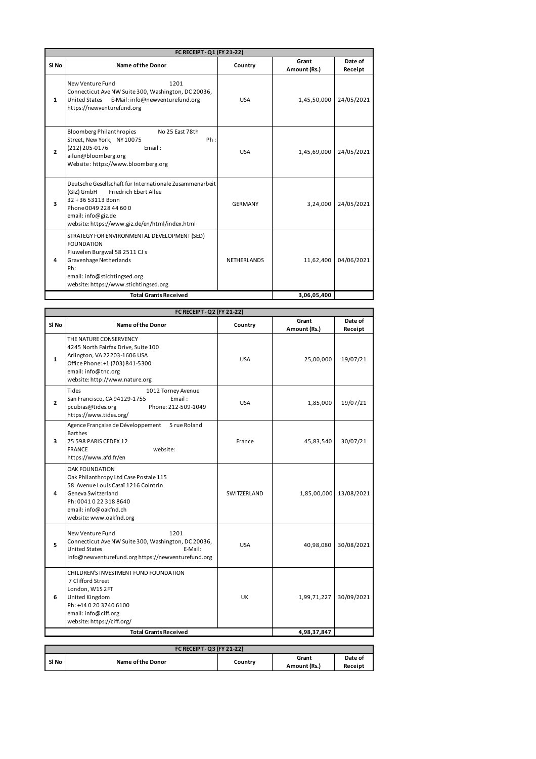| FC RECEIPT - Q1 (FY 21-22)   |                                                                                                                                                                                                                            |                    |                       |                    |
|------------------------------|----------------------------------------------------------------------------------------------------------------------------------------------------------------------------------------------------------------------------|--------------------|-----------------------|--------------------|
| SI No                        | <b>Name of the Donor</b>                                                                                                                                                                                                   | Country            | Grant<br>Amount (Rs.) | Date of<br>Receipt |
| $\mathbf{1}$                 | 1201<br>New Venture Fund<br>Connecticut Ave NW Suite 300, Washington, DC 20036,<br><b>United States</b><br>E-Mail: info@newventurefund.org<br>https://newventurefund.org                                                   | <b>USA</b>         | 1,45,50,000           | 24/05/2021         |
| $\overline{2}$               | <b>Bloomberg Philanthropies</b><br>No 25 East 78th<br>Street, New York, NY 10075<br>Ph:<br>(212) 205-0176<br>Email:<br>ailun@bloomberg.org<br>Website: https://www.bloomberg.org                                           | <b>USA</b>         | 1,45,69,000           | 24/05/2021         |
| 3                            | Deutsche Gesellschaft für Internationale Zusammenarbeit<br>(GIZ) GmbH<br><b>Friedrich Ebert Allee</b><br>32+3653113 Bonn<br>Phone 0049 228 44 60 0<br>email: info@giz.de<br>website: https://www.giz.de/en/html/index.html | <b>GERMANY</b>     | 3,24,000              | 24/05/2021         |
| 4                            | STRATEGY FOR ENVIRONMENTAL DEVELOPMENT (SED)<br><b>FOUNDATION</b><br>Fluwelen Burgwal 58 2511 CJ s<br>Gravenhage Netherlands<br>Ph:<br>email: info@stichtingsed.org<br>website: https://www.stichtingsed.org               | <b>NETHERLANDS</b> | 11,62,400             | 04/06/2021         |
| <b>Total Grants Received</b> |                                                                                                                                                                                                                            |                    | 3,06,05,400           |                    |

|                | FC RECEIPT - Q2 (FY 21-22)                                                                                                                                                                                |             |                       |                    |  |
|----------------|-----------------------------------------------------------------------------------------------------------------------------------------------------------------------------------------------------------|-------------|-----------------------|--------------------|--|
| SI No          | <b>Name of the Donor</b>                                                                                                                                                                                  | Country     | Grant<br>Amount (Rs.) | Date of<br>Receipt |  |
| $\mathbf{1}$   | THE NATURE CONSERVENCY<br>4245 North Fairfax Drive, Suite 100<br>Arlington, VA 22203-1606 USA<br>Office Phone: +1 (703) 841-5300<br>email: info@tnc.org<br>website: http://www.nature.org                 | <b>USA</b>  | 25,00,000             | 19/07/21           |  |
| $\overline{2}$ | Tides<br>1012 Torney Avenue<br>San Francisco, CA 94129-1755<br>Email:<br>pcubias@tides.org<br>Phone: 212-509-1049<br>https://www.tides.org/                                                               | <b>USA</b>  | 1,85,000              | 19/07/21           |  |
| 3              | Agence Française de Développement<br>5 rue Roland<br><b>Barthes</b><br>75 598 PARIS CEDEX 12<br><b>FRANCE</b><br>website:<br>https://www.afd.fr/en                                                        | France      | 45,83,540             | 30/07/21           |  |
| 4              | <b>OAK FOUNDATION</b><br>Oak Philanthropy Ltd Case Postale 115<br>58 Avenue Louis Casaï 1216 Cointrin<br>Geneva Switzerland<br>Ph: 0041 0 22 318 8640<br>email: info@oakfnd.ch<br>website: www.oakfnd.org | SWITZERLAND | 1,85,00,000           | 13/08/2021         |  |
| 5              | 1201<br>New Venture Fund<br>Connecticut Ave NW Suite 300, Washington, DC 20036,<br>E-Mail:<br><b>United States</b><br>info@newventurefund.org https://newventurefund.org                                  | <b>USA</b>  | 40,98,080             | 30/08/2021         |  |
| 6              | CHILDREN'S INVESTMENT FUND FOUNDATION<br>7 Clifford Street<br>London, W1S2FT<br>United Kingdom<br>Ph: +44 0 20 3740 6100<br>email: info@ciff.org<br>website: https://ciff.org/                            | UK          | 1,99,71,227           | 30/09/2021         |  |
|                | <b>Total Grants Received</b>                                                                                                                                                                              |             | 4,98,37,847           |                    |  |
|                | FC RECEIPT - Q3 (FY 21-22)                                                                                                                                                                                |             |                       |                    |  |
| SI No          | <b>Name of the Donor</b>                                                                                                                                                                                  | Country     | Grant<br>Amount (Rs.) | Date of<br>Receipt |  |